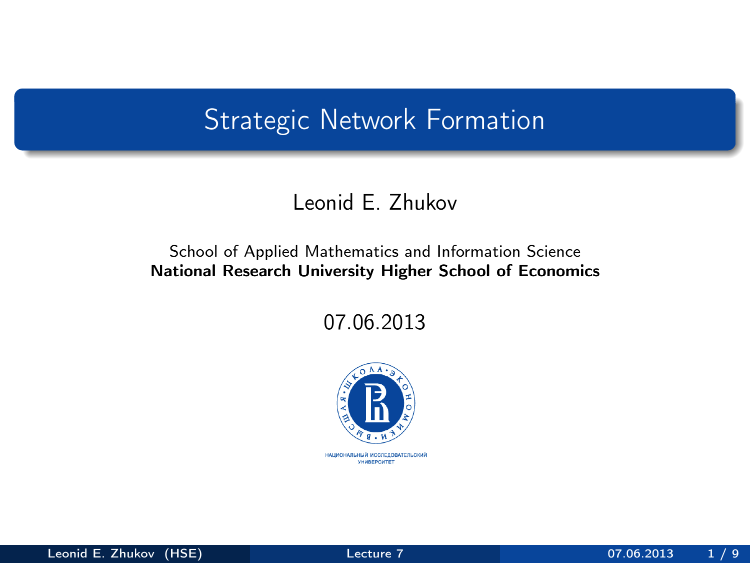### Strategic Network Formation

#### Leonid E. Zhukov

#### School of Applied Mathematics and Information Science National Research University Higher School of Economics

07.06.2013

<span id="page-0-0"></span>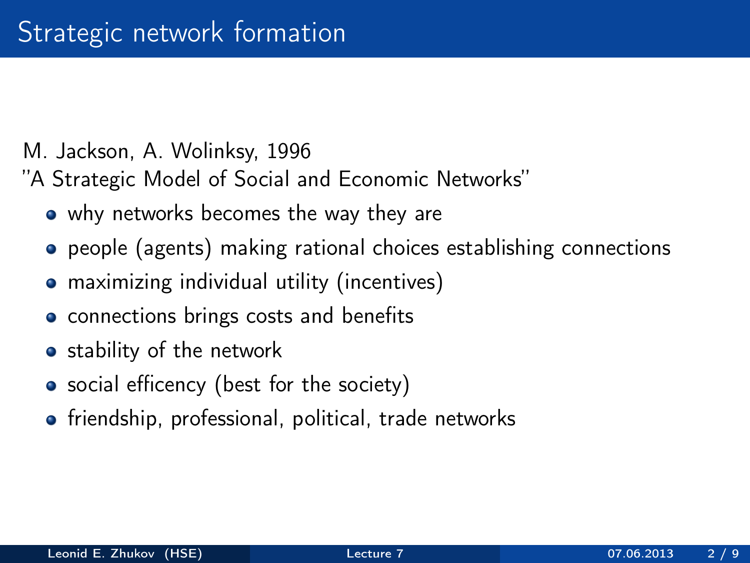- M. Jackson, A. Wolinksy, 1996
- "A Strategic Model of Social and Economic Networks"
	- why networks becomes the way they are
	- people (agents) making rational choices establishing connections
	- **•** maximizing individual utility (incentives)
	- connections brings costs and benefits
	- stability of the network
	- social efficency (best for the society)
	- **•** friendship, professional, political, trade networks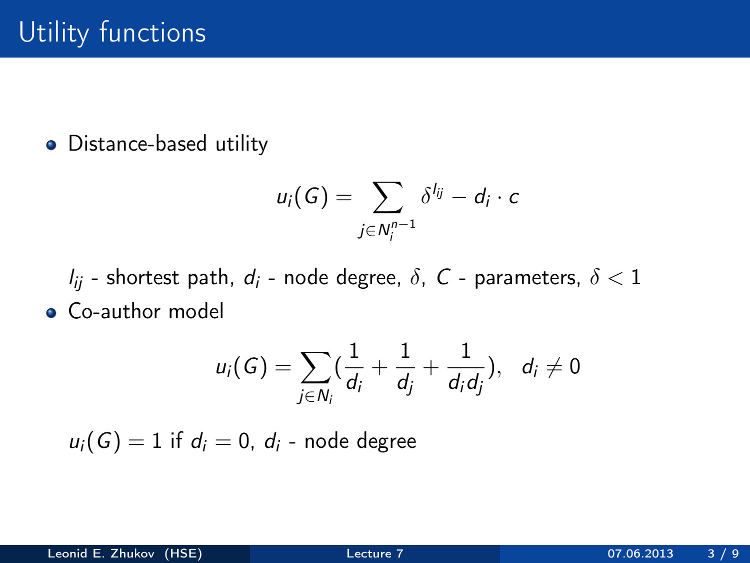• Distance-based utility

$$
u_i(G)=\sum_{j\in N_i^{n-1}}\delta^{l_{ij}}-d_i\cdot c
$$

 $l_{ij}$  - shortest path,  $d_i$  - node degree,  $\delta$ , C - parameters,  $\delta$  < 1 **Co-author model** 

$$
u_i(G) = \sum_{j \in N_i} (\frac{1}{d_i} + \frac{1}{d_j} + \frac{1}{d_i d_j}), \ \ d_i \neq 0
$$

 $u_i(G) = 1$  if  $d_i = 0$ ,  $d_i$  - node degree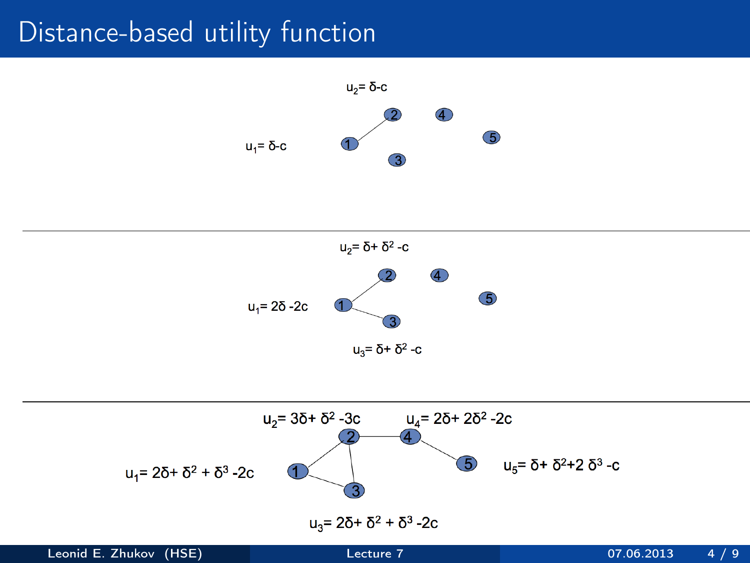### Distance-based utility function





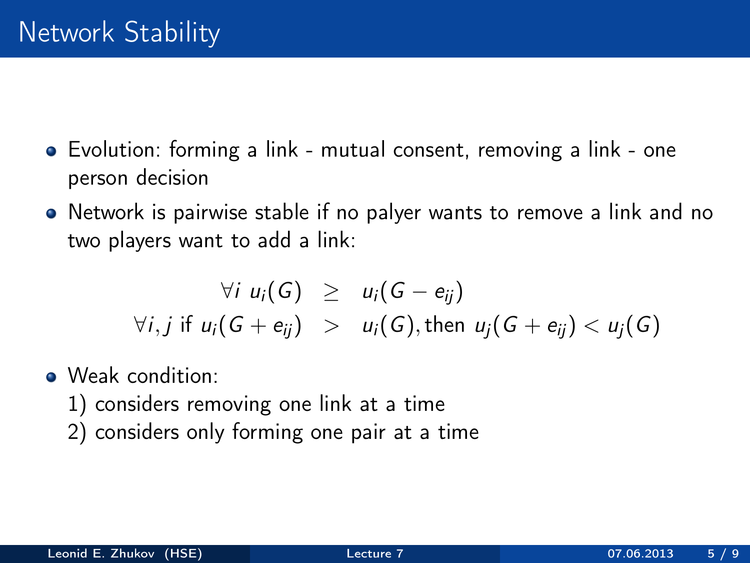- Evolution: forming a link mutual consent, removing a link one person decision
- Network is pairwise stable if no palyer wants to remove a link and no two players want to add a link:

$$
\forall i \ u_i(G) \geq u_i(G - e_{ij})
$$
  
\n
$$
\forall i, j \text{ if } u_i(G + e_{ij}) > u_i(G), \text{ then } u_j(G + e_{ij}) < u_j(G)
$$

- Weak condition:
	- 1) considers removing one link at a time
	- 2) considers only forming one pair at a time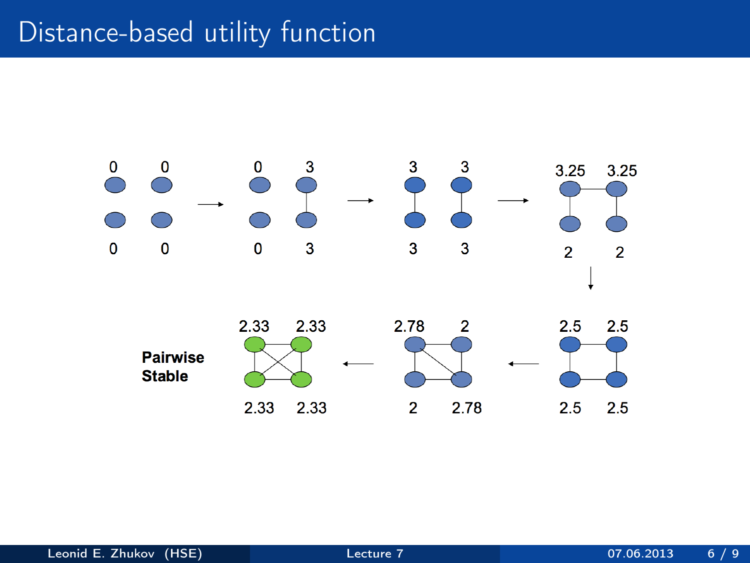## Distance-based utility function

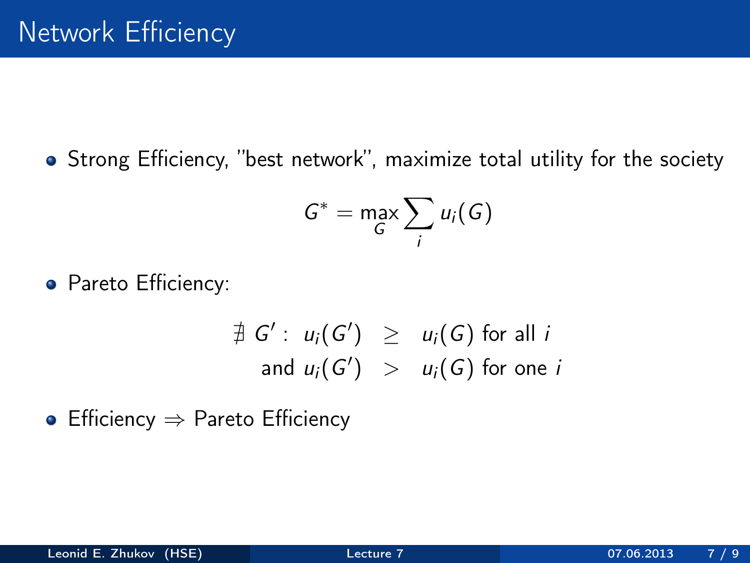Strong Efficiency, "best network", maximize total utility for the society

$$
G^* = \max_G \sum_i u_i(G)
$$

• Pareto Efficiency:

$$
\begin{array}{rcl}\n\exists G': u_i(G') & \geq & u_i(G) \text{ for all } i \\
\text{and } u_i(G') & > & u_i(G) \text{ for one } i\n\end{array}
$$

• Efficiency  $\Rightarrow$  Pareto Efficiency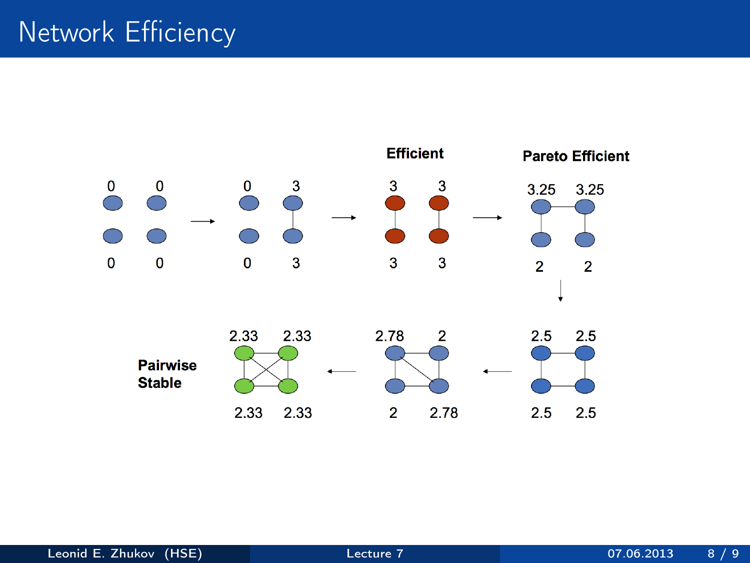# Network Efficiency